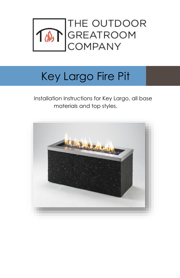

# Key Largo Fire Pit

 Installation Instructions for Key Largo, all base materials and top styles.

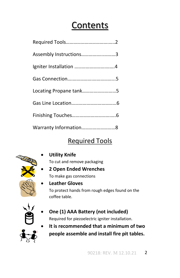#### **Contents**

| Assembly Instructions3 |
|------------------------|
|                        |
|                        |
| Locating Propane tank5 |
|                        |
|                        |
| Warranty Information8  |

#### Required Tools



**Utility Knife**

To cut and remove packaging

- **2 Open Ended Wrenches** To make gas connections
- - **Leather Gloves** To protect hands from rough edges found on the coffee table.



#### **One (1) AAA Battery (not included)** Required for piezoelectric igniter installation.

 **It is recommended that a minimum of two people assemble and install fire pit tables.**

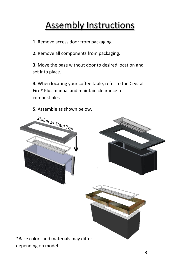## Assembly Instructions

**1.** Remove access door from packaging

**2.** Remove all components from packaging.

**3.** Move the base without door to desired location and set into place.

**4.** When locating your coffee table, refer to the Crystal Fire® Plus manual and maintain clearance to combustibles.

**5.** Assemble as shown below.

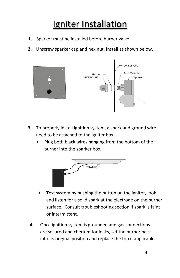### Igniter Installation

- **1.** Sparker must be installed before burner valve.
- **2.** Unscrew sparker cap and hex nut. Install as shown below.



- **3.** To properly install ignition system, a spark and ground wire need to be attached to the igniter box.
	- Plug both black wires hanging from the bottom of the burner into the sparker box.



- Test system by pushing the button on the ignitor, look and listen for a solid spark at the electrode on the burner surface. Consult troubleshooting section if spark is faint or intermittent.
- **4.** Once ignition system is grounded and gas connections are secured and checked for leaks, set the burner back into its original position and replace the top if applicable.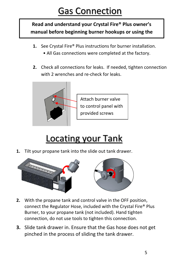## Gas Connection

**Read and understand your Crystal Fire® Plus owner's manual before beginning burner hookups or using the** 

**device.**

- **1.** See Crystal Fire® Plus instructions for burner installation.
	- All Gas connections were completed at the factory.
- **2.** Check all connections for leaks. If needed, tighten connection with 2 wrenches and re-check for leaks.



Attach burner valve to control panel with provided screws

## Locating your Tank

**1.** Tilt your propane tank into the slide out tank drawer.



- **2.** With the propane tank and control valve in the OFF position, connect the Regulator Hose, included with the Crystal Fire® Plus Burner, to your propane tank (not included). Hand tighten connection, do not use tools to tighten this connection.
- **3.** Slide tank drawer in. Ensure that the Gas hose does not get pinched in the process of sliding the tank drawer.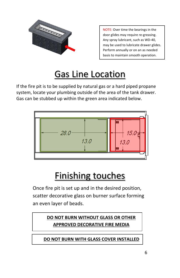

NOTE: Over time the bearings in the door glides may require re-greasing. Any spray lubricant, such as WD-40, may be used to lubricate drawer glides. Perform annually or on an as needed basis to maintain smooth operation.

## Gas Line Location

If the fire pit is to be supplied by natural gas or a hard piped propane system, locate your plumbing outside of the area of the tank drawer. Gas can be stubbed up within the green area indicated below.



## Finishing touches

Once fire pit is set up and in the desired position, scatter decorative glass on burner surface forming an even layer of beads.

#### **DO NOT BURN WITHOUT GLASS OR OTHER APPROVED DECORATIVE FIRE MEDIA**

**DO NOT BURN WITH GLASS COVER INSTALLED**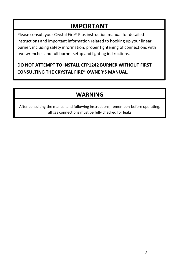#### **IMPORTANT**

Please consult your Crystal Fire® Plus instruction manual for detailed instructions and important information related to hooking up your linear burner, including safety information, proper tightening of connections with two wrenches and full burner setup and lighting instructions.

#### **DO NOT ATTEMPT TO INSTALL CFP1242 BURNER WITHOUT FIRST CONSULTING THE CRYSTAL FIRE® OWNER'S MANUAL.**

#### **WARNING**

After consulting the manual and following instructions, remember; before operating, all gas connections must be fully checked for leaks